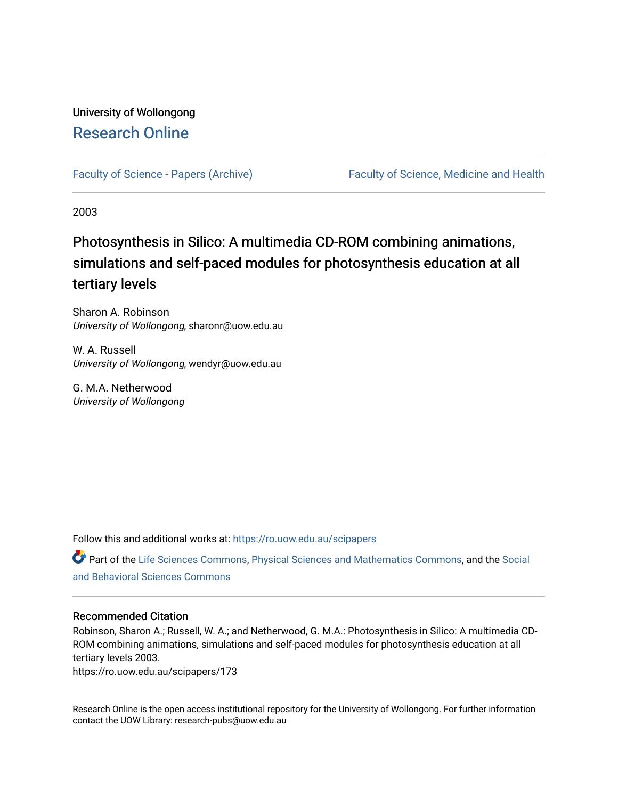## University of Wollongong [Research Online](https://ro.uow.edu.au/)

[Faculty of Science - Papers \(Archive\)](https://ro.uow.edu.au/scipapers) Faculty of Science, Medicine and Health

2003

# Photosynthesis in Silico: A multimedia CD-ROM combining animations, simulations and self-paced modules for photosynthesis education at all tertiary levels

Sharon A. Robinson University of Wollongong, sharonr@uow.edu.au

W. A. Russell University of Wollongong, wendyr@uow.edu.au

G. M.A. Netherwood University of Wollongong

Follow this and additional works at: [https://ro.uow.edu.au/scipapers](https://ro.uow.edu.au/scipapers?utm_source=ro.uow.edu.au%2Fscipapers%2F173&utm_medium=PDF&utm_campaign=PDFCoverPages)

Part of the [Life Sciences Commons,](http://network.bepress.com/hgg/discipline/1016?utm_source=ro.uow.edu.au%2Fscipapers%2F173&utm_medium=PDF&utm_campaign=PDFCoverPages) [Physical Sciences and Mathematics Commons,](http://network.bepress.com/hgg/discipline/114?utm_source=ro.uow.edu.au%2Fscipapers%2F173&utm_medium=PDF&utm_campaign=PDFCoverPages) and the Social [and Behavioral Sciences Commons](http://network.bepress.com/hgg/discipline/316?utm_source=ro.uow.edu.au%2Fscipapers%2F173&utm_medium=PDF&utm_campaign=PDFCoverPages) 

### Recommended Citation

Robinson, Sharon A.; Russell, W. A.; and Netherwood, G. M.A.: Photosynthesis in Silico: A multimedia CD-ROM combining animations, simulations and self-paced modules for photosynthesis education at all tertiary levels 2003.

https://ro.uow.edu.au/scipapers/173

Research Online is the open access institutional repository for the University of Wollongong. For further information contact the UOW Library: research-pubs@uow.edu.au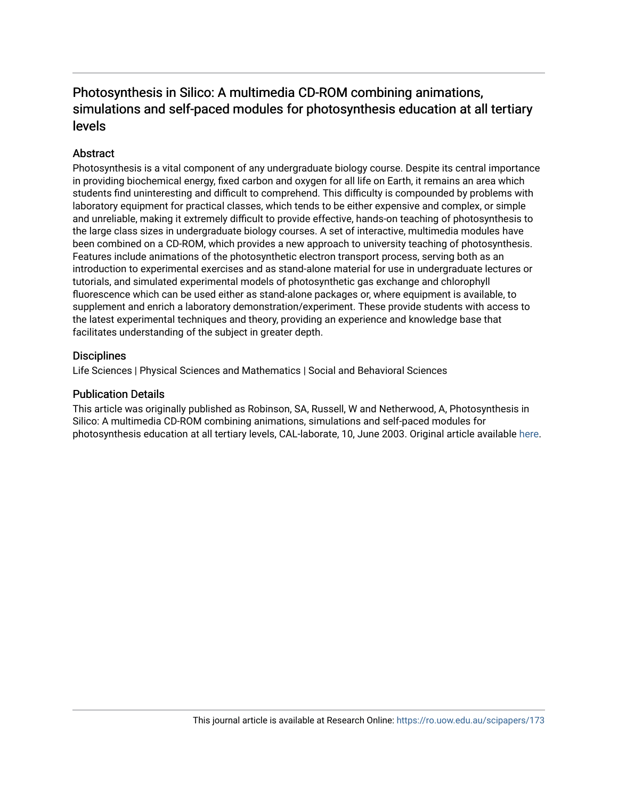## Photosynthesis in Silico: A multimedia CD-ROM combining animations, simulations and self-paced modules for photosynthesis education at all tertiary levels

## **Abstract**

Photosynthesis is a vital component of any undergraduate biology course. Despite its central importance in providing biochemical energy, fixed carbon and oxygen for all life on Earth, it remains an area which students find uninteresting and difficult to comprehend. This difficulty is compounded by problems with laboratory equipment for practical classes, which tends to be either expensive and complex, or simple and unreliable, making it extremely difficult to provide effective, hands-on teaching of photosynthesis to the large class sizes in undergraduate biology courses. A set of interactive, multimedia modules have been combined on a CD-ROM, which provides a new approach to university teaching of photosynthesis. Features include animations of the photosynthetic electron transport process, serving both as an introduction to experimental exercises and as stand-alone material for use in undergraduate lectures or tutorials, and simulated experimental models of photosynthetic gas exchange and chlorophyll fluorescence which can be used either as stand-alone packages or, where equipment is available, to supplement and enrich a laboratory demonstration/experiment. These provide students with access to the latest experimental techniques and theory, providing an experience and knowledge base that facilitates understanding of the subject in greater depth.

## **Disciplines**

Life Sciences | Physical Sciences and Mathematics | Social and Behavioral Sciences

## Publication Details

This article was originally published as Robinson, SA, Russell, W and Netherwood, A, Photosynthesis in Silico: A multimedia CD-ROM combining animations, simulations and self-paced modules for photosynthesis education at all tertiary levels, CAL-laborate, 10, June 2003. Original article available [here](http://science.uniserve.edu.au/pubs/callab/vol10/).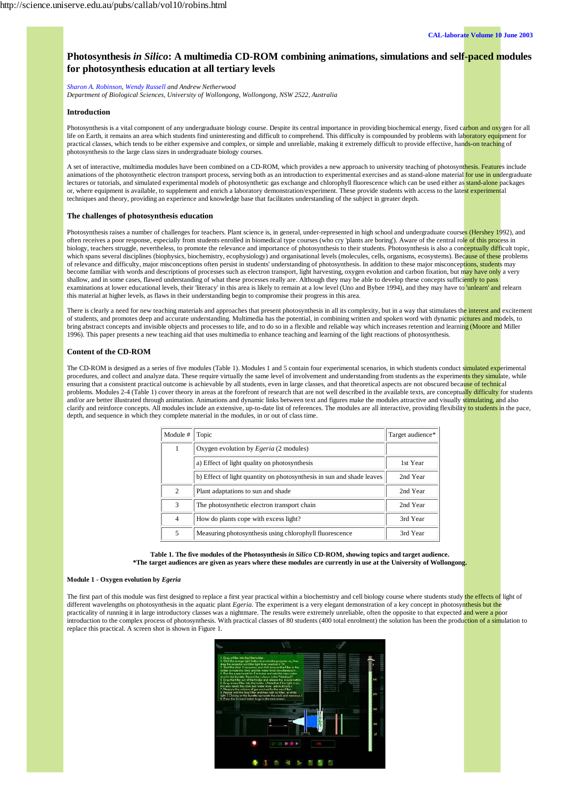

### **Photosynthesis** *in Silico***: A multimedia CD-ROM combining animations, simulations and self-paced modules for photosynthesis education at all tertiary levels**

*Sharon A. Robinson, Wendy Russell and Andrew Netherwood*

*Department of Biological Sciences, University of Wollongong, Wollongong, NSW 2522, Australia*

#### **Introduction**

Photosynthesis is a vital component of any undergraduate biology course. Despite its central importance in providing biochemical energy, fixed carbon and oxygen for all life on Earth, it remains an area which students find uninteresting and difficult to comprehend. This difficulty is compounded by problems with laboratory equipment for practical classes, which tends to be either expensive and complex, or simple and unreliable, making it extremely difficult to provide effective, hands-on teaching of photosynthesis to the large class sizes in undergraduate biology courses.

A set of interactive, multimedia modules have been combined on a CD-ROM, which provides a new approach to university teaching of photosynthesis. Features include animations of the photosynthetic electron transport process, serving both as an introduction to experimental exercises and as stand-alone material for use in undergraduate lectures or tutorials, and simulated experimental models of photosynthetic gas exchange and chlorophyll fluorescence which can be used either as stand-alone packages or, where equipment is available, to supplement and enrich a laboratory demonstration/experiment. These provide students with access to the latest experimental techniques and theory, providing an experience and knowledge base that facilitates understanding of the subject in greater depth.

#### **The challenges of photosynthesis education**

Photosynthesis raises a number of challenges for teachers. Plant science is, in general, under-represented in high school and undergraduate courses (Hershey 1992), and often receives a poor response, especially from students enrolled in biomedical type courses (who cry 'plants are boring'). Aware of the central role of this process in biology, teachers struggle, nevertheless, to promote the relevance and importance of photosynthesis to their students. Photosynthesis is also a conceptually difficult topic, which spans several disciplines (biophysics, biochemistry, ecophysiology) and organisational levels (molecules, cells, organisms, ecosystems). Because of these problems of relevance and difficulty, major misconceptions often persist in students' understanding of photosynthesis. In addition to these major misconceptions, students may become familiar with words and descriptions of processes such as electron transport, light harvesting, oxygen evolution and carbon fixation, but may have only a very shallow, and in some cases, flawed understanding of what these processes really are. Although they may be able to develop these concepts sufficiently to pass examinations at lower educational levels, their 'literacy' in this area is likely to remain at a low level (Uno and Bybee 1994), and they may have to 'unlearn' and relearn this material at higher levels, as flaws in their understanding begin to compromise their progress in this area.

There is clearly a need for new teaching materials and approaches that present photosynthesis in all its complexity, but in a way that stimulates the interest and excitement of students, and promotes deep and accurate understanding. Multimedia has the potential, in combining written and spoken word with dynamic pictures and models, to bring abstract concepts and invisible objects and processes to life, and to do so in a flexible and reliable way which increases retention and learning (Moore and Miller 1996). This paper presents a new teaching aid that uses multimedia to enhance teaching and learning of the light reactions of photosynthesis.

#### **Content of the CD-ROM**

The CD-ROM is designed as a series of five modules (Table 1). Modules 1 and 5 contain four experimental scenarios, in which students conduct simulated experimental procedures, and collect and analyze data. These require virtually the same level of involvement and understanding from students as the experiments they simulate, while ensuring that a consistent practical outcome is achievable by all students, even in large classes, and that theoretical aspects are not obscured because of technical problems. Modules 2-4 (Table 1) cover theory in areas at the forefront of research that are not well described in the available texts, are conceptually difficulty for students and/or are better illustrated through animation. Animations and dynamic links between text and figures make the modules attractive and visually stimulating, and also clarify and reinforce concepts. All modules include an extensive, up-to-date list of references. The modules are all interactive, providing flexibility to students in the pace, depth, and sequence in which they complete material in the modules, in or out of class time.

| Module #       | Topic                                                                 | Target audience* |
|----------------|-----------------------------------------------------------------------|------------------|
| 1              | Oxygen evolution by <i>Egeria</i> (2 modules)                         |                  |
|                | a) Effect of light quality on photosynthesis                          | 1st Year         |
|                | b) Effect of light quantity on photosynthesis in sun and shade leaves | 2nd Year         |
| 2              | Plant adaptations to sun and shade                                    | 2nd Year         |
| 3              | The photosynthetic electron transport chain                           | 2nd Year         |
| $\overline{4}$ | How do plants cope with excess light?                                 | 3rd Year         |
| 5              | Measuring photosynthesis using chlorophyll fluorescence               | 3rd Year         |



#### **Module 1 - Oxygen evolution by** *Egeria*

The first part of this module was first designed to replace a first year practical within a biochemistry and cell biology course where students study the effects of light of different wavelengths on photosynthesis in the aquatic plant *Egeria*. The experiment is a very elegant demonstration of a key concept in photosynthesis but the practicality of running it in large introductory classes was a nightmare. The results were extremely unreliable, often the opposite to that expected and were a poor introduction to the complex process of photosynthesis. With practical classes of 80 students (400 total enrolment) the solution has been the production of a simulation to replace this practical. A screen shot is shown in Figure 1.

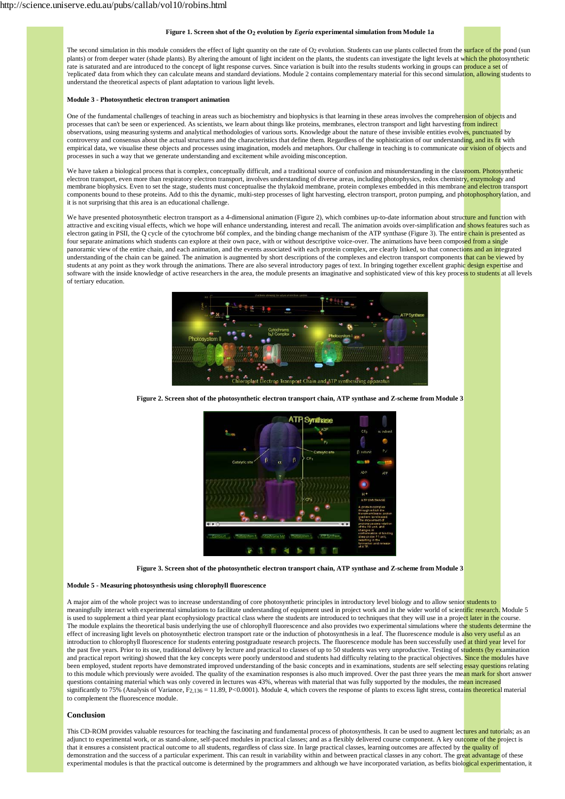#### **Figure 1. Screen shot of the O2 evolution by** *Egeria* **experimental simulation from Module 1a**

The second simulation in this module considers the effect of light quantity on the rate of O<sub>2</sub> evolution. Students can use plants collected from the surface of the pond (sun plants) or from deeper water (shade plants). By altering the amount of light incident on the plants, the students can investigate the light levels at which the photosynthetic rate is saturated and are introduced to the concept of light response curves. Since variation is built into the results students working in groups can **produce a set** of 'replicated' data from which they can calculate means and standard deviations. Module 2 contains complementary material for this second simulation, allowing students to understand the theoretical aspects of plant adaptation to various light levels.

#### **Module 3 - Photosynthetic electron transport animation**

One of the fundamental challenges of teaching in areas such as biochemistry and biophysics is that learning in these areas involves the comprehension of objects and processes that can't be seen or experienced. As scientists, we learn about things like proteins, membranes, electron transport and light harvesting from indirect observations, using measuring systems and analytical methodologies of various sorts. Knowledge about the nature of these invisible entities evolves, punctuated by controversy and consensus about the actual structures and the characteristics that define them. Regardless of the sophistication of our understanding, and its fit with empirical data, we visualise these objects and processes using imagination, models and metaphors. Our challenge in teaching is to communicate our vision of objects and processes in such a way that we generate understanding and excitement while avoiding misconception.

We have taken a biological process that is complex, conceptually difficult, and a traditional source of confusion and misunderstanding in the classroom. Photosynthetic electron transport, even more than respiratory electron transport, involves understanding of diverse areas, including photophysics, redox chemistry, enzymology and membrane biophysics. Even to set the stage, students must conceptualise the thylakoid membrane, protein complexes embedded in this membrane and electron transport components bound to these proteins. Add to this the dynamic, multi-step processes of light harvesting, electron transport, proton pumping, and photophosphorylation, and it is not surprising that this area is an educational challenge.

We have presented photosynthetic electron transport as a 4-dimensional animation (Figure 2), which combines up-to-date information about structure and function with attractive and exciting visual effects, which we hope will enhance understanding, interest and recall. The animation avoids over-simplification and shows features such as electron gating in PSII, the Q cycle of the cytochrome b6f complex, and the binding change mechanism of the ATP synthase (Figure 3). The entire chain is presented as four separate animations which students can explore at their own pace, with or without descriptive voice-over. The animations have been composed from a single panoramic view of the entire chain, and each animation, and the events associated with each protein complex, are clearly linked, so that connections and an integrated understanding of the chain can be gained. The animation is augmented by short descriptions of the complexes and electron transport components that can be viewed by students at any point as they work through the animations. There are also several introductory pages of text. In bringing together excellent graphic design expertise and software with the inside knowledge of active researchers in the area, the module presents an imaginative and sophisticated view of this key process to students at all levels of tertiary education.



**Figure 2. Screen shot of the photosynthetic electron transport chain, ATP synthase and Z-scheme from Module 3**





#### **Module 5 - Measuring photosynthesis using chlorophyll fluorescence**

A major aim of the whole project was to increase understanding of core photosynthetic principles in introductory level biology and to allow senior students to meaningfully interact with experimental simulations to facilitate understanding of equipment used in project work and in the wider world of scientific research. Module 5 is used to supplement a third year plant ecophysiology practical class where the students are introduced to techniques that they will use in a project later in the course. The module explains the theoretical basis underlying the use of chlorophyll fluorescence and also provides two experimental simulations where the students determine the effect of increasing light levels on photosynthetic electron transport rate or the induction of photosynthesis in a leaf. The fluorescence module is also very useful as an introduction to chlorophyll fluorescence for students entering postgraduate research projects. The fluorescence module has been successfully used at third year level for the past five years. Prior to its use, traditional delivery by lecture and practical to classes of up to 50 students was very unproductive. Testing of students (by examination and practical report writing) showed that the key concepts were poorly understood and students had difficulty relating to the practical objectives. Since the modules have been employed, student reports have demonstrated improved understanding of the basic concepts and in examinations, students are self selecting essay questions relating to this module which previously were avoided. The quality of the examination responses is also much improved. Over the past three years the mean mark for short answer questions containing material which was only covered in lectures was 43%, whereas with material that was fully supported by the modules, the mean increased significantly to 75% (Analysis of Variance,  $F_{2,136} = 11.89$ , P<0.0001). Module 4, which covers the response of plants to excess light stress, contains theoretical material to complement the fluorescence module.

#### **Conclusion**

This CD-ROM provides valuable resources for teaching the fascinating and fundamental process of photosynthesis. It can be used to augment lectures and tutorials; as an adjunct to experimental work, or as stand-alone, self-paced modules in practical classes; and as a flexibly delivered course component. A key outcome of the project is that it ensures a consistent practical outcome to all students, regardless of class size. In large practical classes, learning outcomes are affected by the quality of demonstration and the success of a particular experiment. This can result in variability within and between practical classes in any cohort. The great advantage of these experimental modules is that the practical outcome is determined by the programmers and although we have incorporated variation, as befits biological experimentation, it